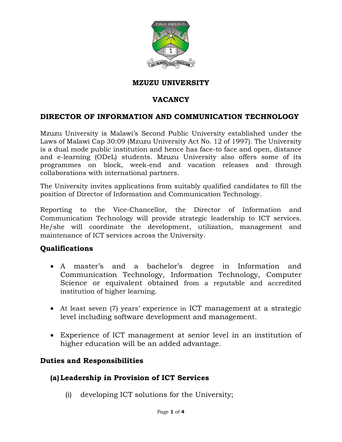

#### **MZUZU UNIVERSITY**

## **VACANCY**

#### **DIRECTOR OF INFORMATION AND COMMUNICATION TECHNOLOGY**

Mzuzu University is Malawi's Second Public University established under the Laws of Malawi Cap 30:09 (Mzuzu University Act No. 12 of 1997). The University is a dual mode public institution and hence has face-to face and open, distance and e-learning (ODeL) students. Mzuzu University also offers some of its programmes on block, week-end and vacation releases and through collaborations with international partners.

The University invites applications from suitably qualified candidates to fill the position of Director of Information and Communication Technology.

Reporting to the Vice-Chancellor, the Director of Information and Communication Technology will provide strategic leadership to ICT services. He/she will coordinate the development, utilization, management and maintenance of ICT services across the University.

#### **Qualifications**

- A master's and a bachelor's degree in Information and Communication Technology, Information Technology, Computer Science or equivalent obtained from a reputable and accredited institution of higher learning.
- At least seven (7) years' experience in ICT management at a strategic level including software development and management.
- Experience of ICT management at senior level in an institution of higher education will be an added advantage.

#### **Duties and Responsibilities**

#### **(a) Leadership in Provision of ICT Services**

(i) developing ICT solutions for the University;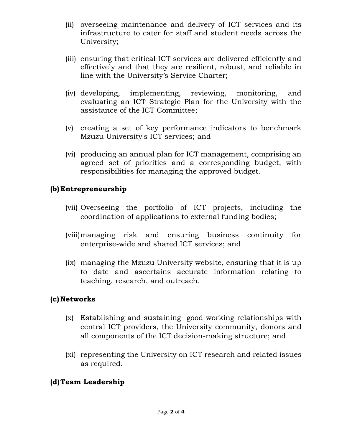- (ii) overseeing maintenance and delivery of ICT services and its infrastructure to cater for staff and student needs across the University;
- (iii) ensuring that critical ICT services are delivered efficiently and effectively and that they are resilient, robust, and reliable in line with the University's Service Charter;
- (iv) developing, implementing, reviewing, monitoring, and evaluating an ICT Strategic Plan for the University with the assistance of the ICT Committee;
- (v) creating a set of key performance indicators to benchmark Mzuzu University's ICT services; and
- (vi) producing an annual plan for ICT management, comprising an agreed set of priorities and a corresponding budget, with responsibilities for managing the approved budget.

## **(b) Entrepreneurship**

- (vii) Overseeing the portfolio of ICT projects, including the coordination of applications to external funding bodies;
- (viii)managing risk and ensuring business continuity for enterprise-wide and shared ICT services; and
- (ix) managing the Mzuzu University website, ensuring that it is up to date and ascertains accurate information relating to teaching, research, and outreach.

#### **(c) Networks**

- (x) Establishing and sustaining good working relationships with central ICT providers, the University community, donors and all components of the ICT decision-making structure; and
- (xi) representing the University on ICT research and related issues as required.

## **(d)Team Leadership**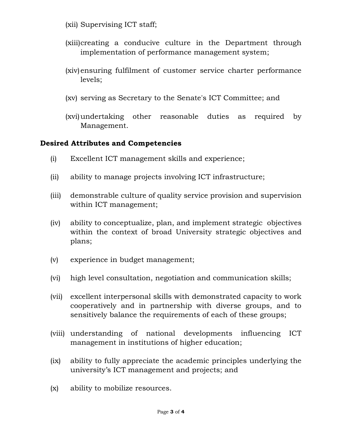- (xii) Supervising ICT staff;
- (xiii)creating a conducive culture in the Department through implementation of performance management system;
- (xiv)ensuring fulfilment of customer service charter performance levels;
- (xv) serving as Secretary to the Senate's ICT Committee; and
- (xvi)undertaking other reasonable duties as required by Management.

# **Desired Attributes and Competencies**

- (i) Excellent ICT management skills and experience;
- (ii) ability to manage projects involving ICT infrastructure;
- (iii) demonstrable culture of quality service provision and supervision within ICT management;
- (iv) ability to conceptualize, plan, and implement strategic objectives within the context of broad University strategic objectives and plans;
- (v) experience in budget management;
- (vi) high level consultation, negotiation and communication skills;
- (vii) excellent interpersonal skills with demonstrated capacity to work cooperatively and in partnership with diverse groups, and to sensitively balance the requirements of each of these groups;
- (viii) understanding of national developments influencing ICT management in institutions of higher education;
- (ix) ability to fully appreciate the academic principles underlying the university's ICT management and projects; and
- (x) ability to mobilize resources.